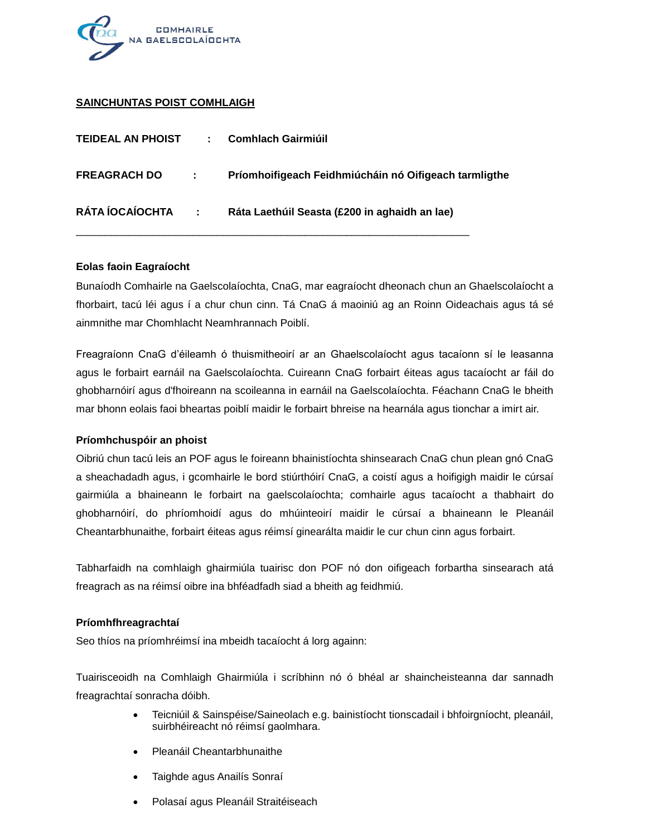

## **SAINCHUNTAS POIST COMHLAIGH**

| <b>TEIDEAL AN PHOIST</b> | ÷.         | Comhlach Gairmiúil                                    |
|--------------------------|------------|-------------------------------------------------------|
| <b>FREAGRACH DO</b>      | $\sim 200$ | Príomhoifigeach Feidhmiúcháin nó Oifigeach tarmligthe |
| RÁTA ÍOCAÍOCHTA:         |            | Ráta Laethúil Seasta (£200 in aghaidh an lae)         |

#### **Eolas faoin Eagraíocht**

Bunaíodh Comhairle na Gaelscolaíochta, CnaG, mar eagraíocht dheonach chun an Ghaelscolaíocht a fhorbairt, tacú léi agus í a chur chun cinn. Tá CnaG á maoiniú ag an Roinn Oideachais agus tá sé ainmnithe mar Chomhlacht Neamhrannach Poiblí.

Freagraíonn CnaG d'éileamh ó thuismitheoirí ar an Ghaelscolaíocht agus tacaíonn sí le leasanna agus le forbairt earnáil na Gaelscolaíochta. Cuireann CnaG forbairt éiteas agus tacaíocht ar fáil do ghobharnóirí agus d'fhoireann na scoileanna in earnáil na Gaelscolaíochta. Féachann CnaG le bheith mar bhonn eolais faoi bheartas poiblí maidir le forbairt bhreise na hearnála agus tionchar a imirt air.

#### **Príomhchuspóir an phoist**

Oibriú chun tacú leis an POF agus le foireann bhainistíochta shinsearach CnaG chun plean gnó CnaG a sheachadadh agus, i gcomhairle le bord stiúrthóirí CnaG, a coistí agus a hoifigigh maidir le cúrsaí gairmiúla a bhaineann le forbairt na gaelscolaíochta; comhairle agus tacaíocht a thabhairt do ghobharnóirí, do phríomhoidí agus do mhúinteoirí maidir le cúrsaí a bhaineann le Pleanáil Cheantarbhunaithe, forbairt éiteas agus réimsí ginearálta maidir le cur chun cinn agus forbairt.

Tabharfaidh na comhlaigh ghairmiúla tuairisc don POF nó don oifigeach forbartha sinsearach atá freagrach as na réimsí oibre ina bhféadfadh siad a bheith ag feidhmiú.

## **Príomhfhreagrachtaí**

Seo thíos na príomhréimsí ina mbeidh tacaíocht á lorg againn:

Tuairisceoidh na Comhlaigh Ghairmiúla i scríbhinn nó ó bhéal ar shaincheisteanna dar sannadh freagrachtaí sonracha dóibh.

- Teicniúil & Sainspéise/Saineolach e.g. bainistíocht tionscadail i bhfoirgníocht, pleanáil, suirbhéireacht nó réimsí gaolmhara.
- Pleanáil Cheantarbhunaithe
- Taighde agus Anailís Sonraí
- Polasaí agus Pleanáil Straitéiseach